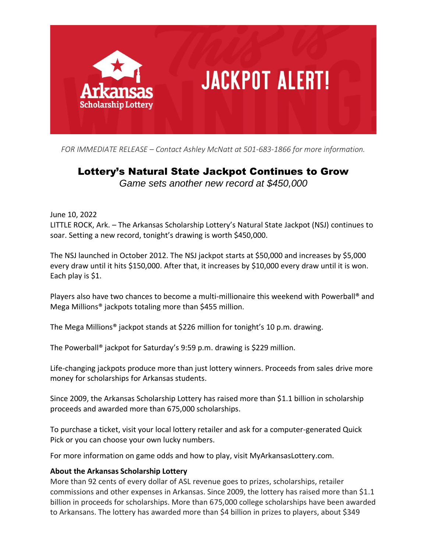

*FOR IMMEDIATE RELEASE – Contact Ashley McNatt at 501-683-1866 for more information.*

## Lottery's Natural State Jackpot Continues to Grow

*Game sets another new record at \$450,000*

June 10, 2022

LITTLE ROCK, Ark. – The Arkansas Scholarship Lottery's Natural State Jackpot (NSJ) continues to soar. Setting a new record, tonight's drawing is worth \$450,000.

The NSJ launched in October 2012. The NSJ jackpot starts at \$50,000 and increases by \$5,000 every draw until it hits \$150,000. After that, it increases by \$10,000 every draw until it is won. Each play is \$1.

Players also have two chances to become a multi-millionaire this weekend with Powerball® and Mega Millions® jackpots totaling more than \$455 million.

The Mega Millions® jackpot stands at \$226 million for tonight's 10 p.m. drawing.

The Powerball® jackpot for Saturday's 9:59 p.m. drawing is \$229 million.

Life-changing jackpots produce more than just lottery winners. Proceeds from sales drive more money for scholarships for Arkansas students.

Since 2009, the Arkansas Scholarship Lottery has raised more than \$1.1 billion in scholarship proceeds and awarded more than 675,000 scholarships.

To purchase a ticket, visit your local lottery retailer and ask for a computer-generated Quick Pick or you can choose your own lucky numbers.

For more information on game odds and how to play, visit MyArkansasLottery.com.

## **About the Arkansas Scholarship Lottery**

More than 92 cents of every dollar of ASL revenue goes to prizes, scholarships, retailer commissions and other expenses in Arkansas. Since 2009, the lottery has raised more than \$1.1 billion in proceeds for scholarships. More than 675,000 college scholarships have been awarded to Arkansans. The lottery has awarded more than \$4 billion in prizes to players, about \$349